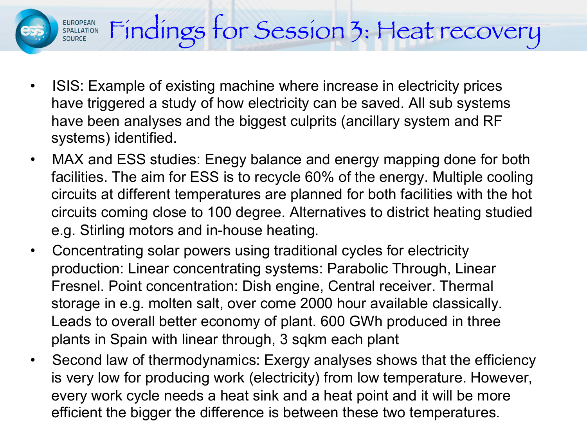## Findings for Session 3: Heat recovery EUROPEAN<br>SPALLATION<br>SOURCE

- ISIS: Example of existing machine where increase in electricity prices have triggered a study of how electricity can be saved. All sub systems have been analyses and the biggest culprits (ancillary system and RF systems) identified.
- MAX and ESS studies: Enegy balance and energy mapping done for both facilities. The aim for ESS is to recycle 60% of the energy. Multiple cooling circuits at different temperatures are planned for both facilities with the hot circuits coming close to 100 degree. Alternatives to district heating studied e.g. Stirling motors and in-house heating.
- Concentrating solar powers using traditional cycles for electricity production: Linear concentrating systems: Parabolic Through, Linear Fresnel. Point concentration: Dish engine, Central receiver. Thermal storage in e.g. molten salt, over come 2000 hour available classically. Leads to overall better economy of plant. 600 GWh produced in three plants in Spain with linear through, 3 sqkm each plant
- Second law of thermodynamics: Exergy analyses shows that the efficiency is very low for producing work (electricity) from low temperature. However, every work cycle needs a heat sink and a heat point and it will be more efficient the bigger the difference is between these two temperatures.